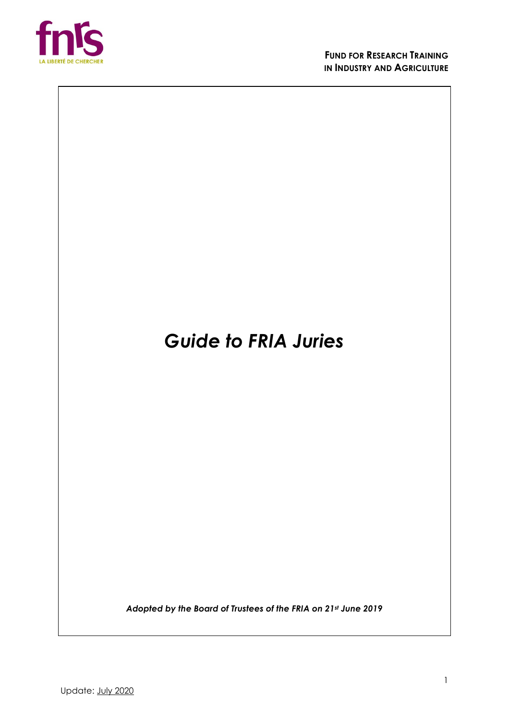

# *Guide to FRIA Juries*

*Adopted by the Board of Trustees of the FRIA on 21st June 2019*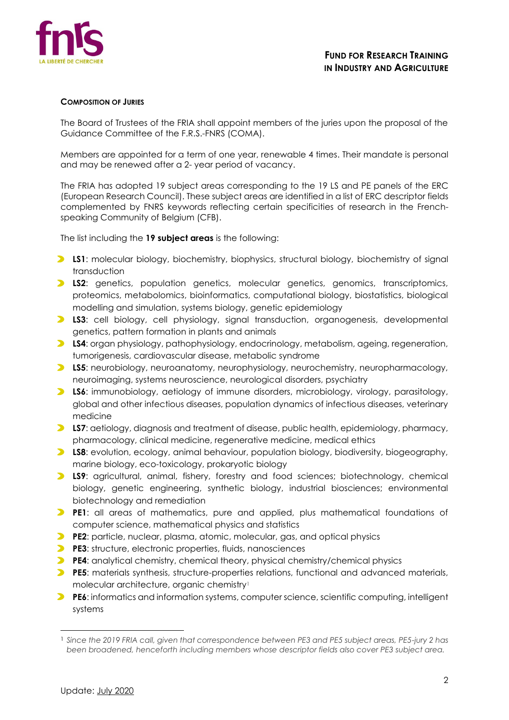

## **COMPOSITION OF JURIES**

The Board of Trustees of the FRIA shall appoint members of the juries upon the proposal of the Guidance Committee of the F.R.S.-FNRS (COMA).

Members are appointed for a term of one year, renewable 4 times. Their mandate is personal and may be renewed after a 2- year period of vacancy.

The FRIA has adopted 19 subject areas corresponding to the 19 LS and PE panels of the ERC (European Research Council). These subject areas are identified in a list of ERC descriptor fields complemented by FNRS keywords reflecting certain specificities of research in the Frenchspeaking Community of Belgium (CFB).

The list including the **19 subject areas** is the following:

- **LS1:** molecular biology, biochemistry, biophysics, structural biology, biochemistry of signal transduction
- **LS2**: genetics, population genetics, molecular genetics, genomics, transcriptomics, proteomics, metabolomics, bioinformatics, computational biology, biostatistics, biological modelling and simulation, systems biology, genetic epidemiology
- **LS3**: cell biology, cell physiology, signal transduction, organogenesis, developmental genetics, pattern formation in plants and animals
- **LS4**: organ physiology, pathophysiology, endocrinology, metabolism, ageing, regeneration, tumorigenesis, cardiovascular disease, metabolic syndrome
- **LS5**: neurobiology, neuroanatomy, neurophysiology, neurochemistry, neuropharmacology, neuroimaging, systems neuroscience, neurological disorders, psychiatry
- **LS6**: immunobiology, aetiology of immune disorders, microbiology, virology, parasitology, global and other infectious diseases, population dynamics of infectious diseases, veterinary medicine
- **LS7**: aetiology, diagnosis and treatment of disease, public health, epidemiology, pharmacy, pharmacology, clinical medicine, regenerative medicine, medical ethics
- **LS8**: evolution, ecology, animal behaviour, population biology, biodiversity, biogeography, marine biology, eco-toxicology, prokaryotic biology
- **LS9**: agricultural, animal, fishery, forestry and food sciences; biotechnology, chemical biology, genetic engineering, synthetic biology, industrial biosciences; environmental biotechnology and remediation
- **PE1**: all areas of mathematics, pure and applied, plus mathematical foundations of computer science, mathematical physics and statistics
- **PE2**: particle, nuclear, plasma, atomic, molecular, gas, and optical physics
- **PE3**: structure, electronic properties, fluids, nanosciences
- **PE4**: analytical chemistry, chemical theory, physical chemistry/chemical physics
- **PE5**: materials synthesis, structure-properties relations, functional and advanced materials, molecular architecture, organic chemistry<sup>1</sup>
- **PE6**: informatics and information systems, computer science, scientific computing, intelligent systems

<sup>1</sup> *Since the 2019 FRIA call, given that correspondence between PE3 and PE5 subject areas, PE5-jury 2 has been broadened, henceforth including members whose descriptor fields also cover PE3 subject area.*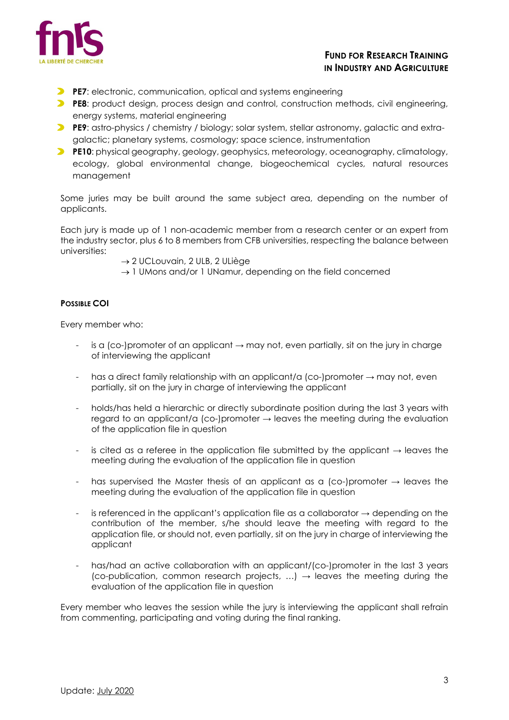

# **FUND FOR RESEARCH TRAINING IN INDUSTRY AND AGRICULTURE**

- **PE7:** electronic, communication, optical and systems engineering
- **PE8:** product design, process design and control, construction methods, civil engineering, energy systems, material engineering
- **PE9**: astro-physics / chemistry / biology; solar system, stellar astronomy, galactic and extragalactic; planetary systems, cosmology; space science, instrumentation
- **PE10**: physical geography, geology, geophysics, meteorology, oceanography, climatology, ecology, global environmental change, biogeochemical cycles, natural resources management

Some juries may be built around the same subject area, depending on the number of applicants.

Each jury is made up of 1 non-academic member from a research center or an expert from the industry sector, plus 6 to 8 members from CFB universities, respecting the balance between universities:

- → 2 UCLouvain, 2 ULB, 2 ULiège
- $\rightarrow$  1 UMons and/or 1 UNamur, depending on the field concerned

# **POSSIBLE COI**

Every member who:

- is a (co-)promoter of an applicant  $\rightarrow$  may not, even partially, sit on the jury in charge of interviewing the applicant
- has a direct family relationship with an applicant/a (co-)promoter  $\rightarrow$  may not, even partially, sit on the jury in charge of interviewing the applicant
- holds/has held a hierarchic or directly subordinate position during the last 3 years with regard to an applicant/a (co-)promoter  $\rightarrow$  leaves the meeting during the evaluation of the application file in question
- is cited as a referee in the application file submitted by the applicant  $\rightarrow$  leaves the meeting during the evaluation of the application file in question
- has supervised the Master thesis of an applicant as a (co-)promoter  $\rightarrow$  leaves the meeting during the evaluation of the application file in question
- is referenced in the applicant's application file as a collaborator  $\rightarrow$  depending on the contribution of the member, s/he should leave the meeting with regard to the application file, or should not, even partially, sit on the jury in charge of interviewing the applicant
- has/had an active collaboration with an applicant/(co-)promoter in the last 3 years (co-publication, common research projects, ...)  $\rightarrow$  leaves the meeting during the evaluation of the application file in question

Every member who leaves the session while the jury is interviewing the applicant shall refrain from commenting, participating and voting during the final ranking.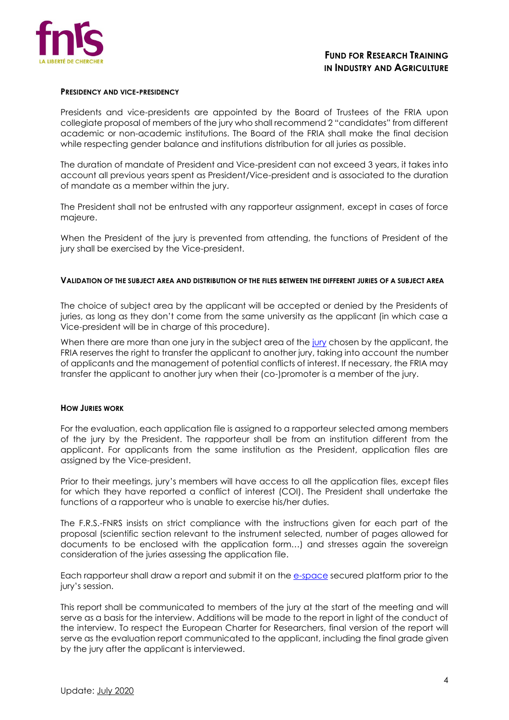

#### **PRESIDENCY AND VICE-PRESIDENCY**

Presidents and vice-presidents are appointed by the Board of Trustees of the FRIA upon collegiate proposal of members of the jury who shall recommend 2 "candidates" from different academic or non-academic institutions. The Board of the FRIA shall make the final decision while respecting gender balance and institutions distribution for all juries as possible.

The duration of mandate of President and Vice-president can not exceed 3 years, it takes into account all previous years spent as President/Vice-president and is associated to the duration of mandate as a member within the jury.

The President shall not be entrusted with any rapporteur assignment, except in cases of force majeure.

When the President of the jury is prevented from attending, the functions of President of the jury shall be exercised by the Vice-president.

# **VALIDATION OF THE SUBJECT AREA AND DISTRIBUTION OF THE FILES BETWEEN THE DIFFERENT JURIES OF A SUBJECT AREA**

The choice of subject area by the applicant will be accepted or denied by the Presidents of juries, as long as they don't come from the same university as the applicant (in which case a Vice-president will be in charge of this procedure).

When there are more than one [jury](https://www.frs-fnrs.be/docs/Reglement-et-documents/FRS-FNRS_JurysFRIA.pdf) in the subject area of the jury chosen by the applicant, the FRIA reserves the right to transfer the applicant to another jury, taking into account the number of applicants and the management of potential conflicts of interest. If necessary, the FRIA may transfer the applicant to another jury when their (co-)promoter is a member of the jury.

#### **HOW JURIES WORK**

For the evaluation, each application file is assigned to a rapporteur selected among members of the jury by the President. The rapporteur shall be from an institution different from the applicant. For applicants from the same institution as the President, application files are assigned by the Vice-president.

Prior to their meetings, jury's members will have access to all the application files, except files for which they have reported a conflict of interest (COI). The President shall undertake the functions of a rapporteur who is unable to exercise his/her duties.

The F.R.S.-FNRS insists on strict compliance with the instructions given for each part of the proposal (scientific section relevant to the instrument selected, number of pages allowed for documents to be enclosed with the application form…) and stresses again the sovereign consideration of the juries assessing the application file.

Each rapporteur shall draw a report and submit it on the [e-space](https://e-space.frs-fnrs.be/) secured platform prior to the jury's session.

This report shall be communicated to members of the jury at the start of the meeting and will serve as a basis for the interview. Additions will be made to the report in light of the conduct of the interview. To respect the European Charter for Researchers, final version of the report will serve as the evaluation report communicated to the applicant, including the final grade given by the jury after the applicant is interviewed.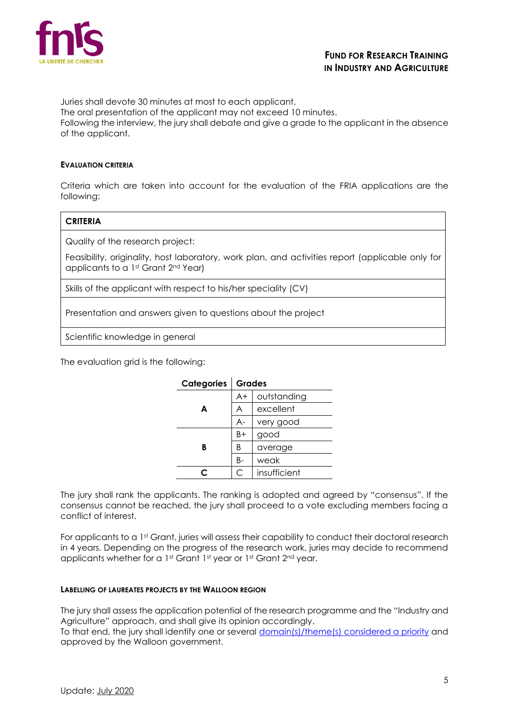

Juries shall devote 30 minutes at most to each applicant. The oral presentation of the applicant may not exceed 10 minutes. Following the interview, the jury shall debate and give a grade to the applicant in the absence of the applicant.

#### **EVALUATION CRITERIA**

Criteria which are taken into account for the evaluation of the FRIA applications are the following:

# **CRITERIA**

Quality of the research project:

Feasibility, originality, host laboratory, work plan, and activities report (applicable only for applicants to a 1st Grant 2<sup>nd</sup> Year)

Skills of the applicant with respect to his/her speciality (CV)

Presentation and answers given to questions about the project

Scientific knowledge in general

The evaluation grid is the following:

| Categories | <b>Grades</b> |              |
|------------|---------------|--------------|
| A          | $A+$          | outstanding  |
|            | Α             | excellent    |
|            | A-            | very good    |
| B          | B+            | good         |
|            | B             | average      |
|            | B-            | weak         |
|            | С             | insufficient |

The jury shall rank the applicants. The ranking is adopted and agreed by "consensus". If the consensus cannot be reached, the jury shall proceed to a vote excluding members facing a conflict of interest.

For applicants to a 1st Grant, juries will assess their capability to conduct their doctoral research in 4 years. Depending on the progress of the research work, juries may decide to recommend applicants whether for a 1st Grant 1st year or 1st Grant 2nd year.

#### **LABELLING OF LAUREATES PROJECTS BY THE WALLOON REGION**

The jury shall assess the application potential of the research programme and the "Industry and Agriculture" approach, and shall give its opinion accordingly.

To that end, the jury shall identify one or several [domain\(s\)/theme\(s\) considered a priority](https://e-space.frs-fnrs.be/documents_publics/ressource/fria_thematiques_prioritaires_rw.pdf) and approved by the Walloon government.